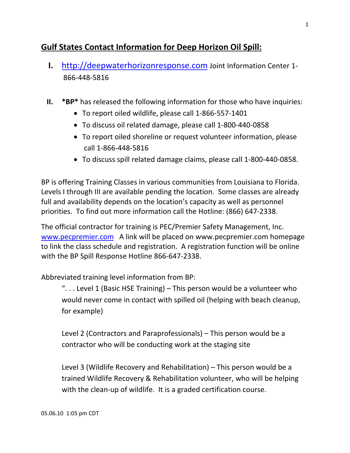# **Gulf States Contact Information for Deep Horizon Oil Spill:**

- **I.** http://deepwaterhorizonresponse.com Joint Information Center 1‐ 866‐448‐5816
- **II. \*BP\*** has released the following information for those who have inquiries:
	- To report oiled wildlife, please call 1‐866‐557‐1401
	- To discuss oil related damage, please call 1‐800‐440‐0858
	- To report oiled shoreline or request volunteer information, please call 1‐866‐448‐5816
	- To discuss spill related damage claims, please call 1‐800‐440‐0858.

BP is offering Training Classes in various communities from Louisiana to Florida. Levels I through III are available pending the location. Some classes are already full and availability depends on the location's capacity as well as personnel priorities. To find out more information call the Hotline: (866) 647‐2338.

The official contractor for training is PEC/Premier Safety Management, Inc. www.pecpremier.com A link will be placed on www.pecpremier.com homepage to link the class schedule and registration. A registration function will be online with the BP Spill Response Hotline 866‐647‐2338.

Abbreviated training level information from BP:

". . . Level 1 (Basic HSE Training) – This person would be a volunteer who would never come in contact with spilled oil (helping with beach cleanup, for example)

Level 2 (Contractors and Paraprofessionals) – This person would be a contractor who will be conducting work at the staging site

Level 3 (Wildlife Recovery and Rehabilitation) – This person would be a trained Wildlife Recovery & Rehabilitation volunteer, who will be helping with the clean-up of wildlife. It is a graded certification course.

05.06.10 1:05 pm CDT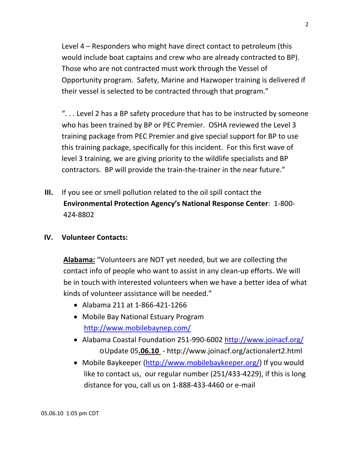Level 4 – Responders who might have direct contact to petroleum (this would include boat captains and crew who are already contracted to BP). Those who are not contracted must work through the Vessel of Opportunity program. Safety, Marine and Hazwoper training is delivered if their vessel is selected to be contracted through that program."

". . . Level 2 has a BP safety procedure that has to be instructed by someone who has been trained by BP or PEC Premier. OSHA reviewed the Level 3 training package from PEC Premier and give special support for BP to use this training package, specifically for this incident. For this first wave of level 3 training, we are giving priority to the wildlife specialists and BP contractors. BP will provide the train‐the‐trainer in the near future."

- **III.** If you see or smell pollution related to the oil spill contact the **Environmental Protection Agency's National Response Center**: 1‐800‐ 424‐8802
- **IV. Volunteer Contacts:**

**Alabama:** "Volunteers are NOT yet needed, but we are collecting the contact info of people who want to assist in any clean‐up efforts. We will be in touch with interested volunteers when we have a better idea of what kinds of volunteer assistance will be needed."

- Alabama 211 at 1‐866‐421‐1266
- Mobile Bay National Estuary Program http://www.mobilebaynep.com/
- Alabama Coastal Foundation 251‐990‐6002 http://www.joinacf.org/ oUpdate 05**.06.10** ‐ http://www.joinacf.org/actionalert2.html
- Mobile Baykeeper (http://www.mobilebaykeeper.org/) If you would like to contact us, our regular number (251/433‐4229), if this is long distance for you, call us on 1‐888‐433‐4460 or e‐mail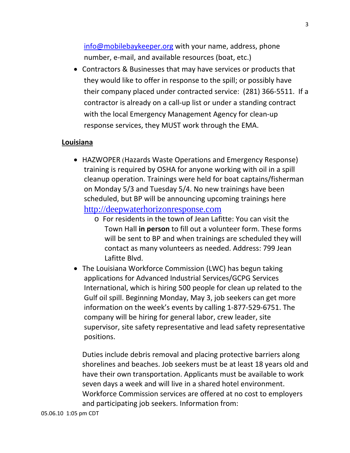info@mobilebaykeeper.org with your name, address, phone number, e‐mail, and available resources (boat, etc.)

 Contractors & Businesses that may have services or products that they would like to offer in response to the spill; or possibly have their company placed under contracted service: (281) 366‐5511. If a contractor is already on a call‐up list or under a standing contract with the local Emergency Management Agency for clean‐up response services, they MUST work through the EMA.

#### **Louisiana**

- HAZWOPER (Hazards Waste Operations and Emergency Response) training is required by OSHA for anyone working with oil in a spill cleanup operation. Trainings were held for boat captains/fisherman on Monday 5/3 and Tuesday 5/4. No new trainings have been scheduled, but BP will be announcing upcoming trainings here http://deepwaterhorizonresponse.com
	- o For residents in the town of Jean Lafitte: You can visit the Town Hall **in person** to fill out a volunteer form. These forms will be sent to BP and when trainings are scheduled they will contact as many volunteers as needed. Address: 799 Jean Lafitte Blvd.
- The Louisiana Workforce Commission (LWC) has begun taking applications for Advanced Industrial Services/GCPG Services International, which is hiring 500 people for clean up related to the Gulf oil spill. Beginning Monday, May 3, job seekers can get more information on the week's events by calling 1‐877‐529‐6751. The company will be hiring for general labor, crew leader, site supervisor, site safety representative and lead safety representative positions.

Duties include debris removal and placing protective barriers along shorelines and beaches. Job seekers must be at least 18 years old and have their own transportation. Applicants must be available to work seven days a week and will live in a shared hotel environment. Workforce Commission services are offered at no cost to employers and participating job seekers. Information from: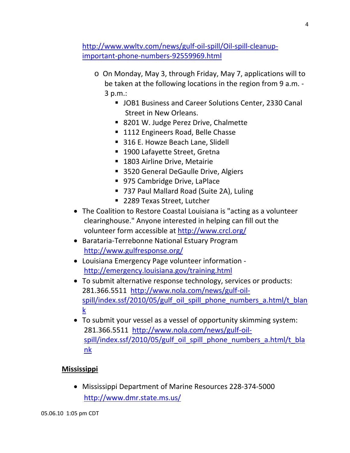http://www.wwltv.com/news/gulf‐oil‐spill/Oil‐spill‐cleanup‐ important‐phone‐numbers‐92559969.html

- o On Monday, May 3, through Friday, May 7, applications will to be taken at the following locations in the region from 9 a.m. ‐ 3 p.m.:
	- **JOB1 Business and Career Solutions Center, 2330 Canal** Street in New Orleans.
	- 8201 W. Judge Perez Drive, Chalmette
	- 1112 Engineers Road, Belle Chasse
	- 316 E. Howze Beach Lane, Slidell
	- 1900 Lafayette Street, Gretna
	- **1803 Airline Drive, Metairie**
	- 3520 General DeGaulle Drive, Algiers
	- 975 Cambridge Drive, LaPlace
	- 737 Paul Mallard Road (Suite 2A), Luling
	- 2289 Texas Street, Lutcher
- The Coalition to Restore Coastal Louisiana is "acting as a volunteer clearinghouse." Anyone interested in helping can fill out the volunteer form accessible at http://www.crcl.org/
- Barataria-Terrebonne National Estuary Program http://www.gulfresponse.org/
- Louisiana Emergency Page volunteer information ‐ http://emergency.louisiana.gov/training.html
- To submit alternative response technology, services or products: 281.366.5511 http://www.nola.com/news/gulf‐oil‐ spill/index.ssf/2010/05/gulf\_oil\_spill\_phone\_numbers\_a.html/t\_blan k
- To submit your vessel as a vessel of opportunity skimming system: 281.366.5511 http://www.nola.com/news/gulf‐oil‐ spill/index.ssf/2010/05/gulf\_oil\_spill\_phone\_numbers\_a.html/t\_bla nk

### **Mississippi**

 Mississippi Department of Marine Resources 228‐374‐5000 http://www.dmr.state.ms.us/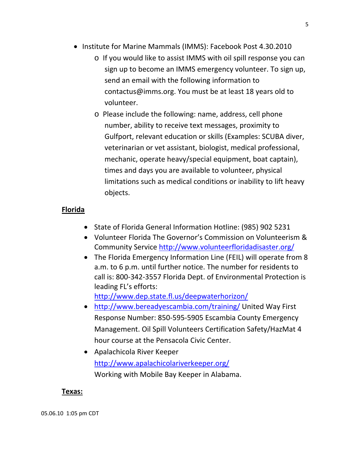- Institute for Marine Mammals (IMMS): Facebook Post 4.30.2010
	- o If you would like to assist IMMS with oil spill response you can sign up to become an IMMS emergency volunteer. To sign up, send an email with the following information to contactus@imms.org. You must be at least 18 years old to volunteer.
	- o Please include the following: name, address, cell phone number, ability to receive text messages, proximity to Gulfport, relevant education or skills (Examples: SCUBA diver, veterinarian or vet assistant, biologist, medical professional, mechanic, operate heavy/special equipment, boat captain), times and days you are available to volunteer, physical limitations such as medical conditions or inability to lift heavy objects.

## **Florida**

- State of Florida General Information Hotline: (985) 902 5231
- Volunteer Florida The Governor's Commission on Volunteerism & Community Service http://www.volunteerfloridadisaster.org/
- The Florida Emergency Information Line (FEIL) will operate from 8 a.m. to 6 p.m. until further notice. The number for residents to call is: 800‐342‐3557 Florida Dept. of Environmental Protection is leading FL's efforts:

http://www.dep.state.fl.us/deepwaterhorizon/

- http://www.bereadyescambia.com/training/ United Way First Response Number: 850‐595‐5905 Escambia County Emergency Management. Oil Spill Volunteers Certification Safety/HazMat 4 hour course at the Pensacola Civic Center.
- Apalachicola River Keeper http://www.apalachicolariverkeeper.org/ Working with Mobile Bay Keeper in Alabama.

## **Texas:**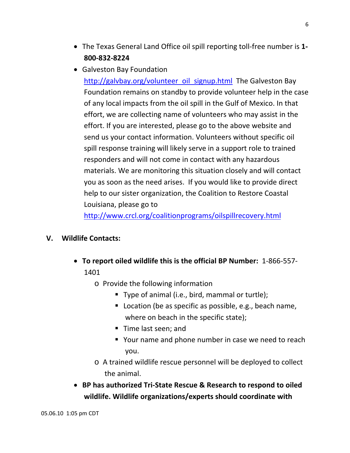- The Texas General Land Office oil spill reporting toll‐free number is **1‐ 800‐832‐8224**
- Galveston Bay Foundation http://galvbay.org/volunteer\_oil\_signup.html The Galveston Bay Foundation remains on standby to provide volunteer help in the case of any local impacts from the oil spill in the Gulf of Mexico. In that effort, we are collecting name of volunteers who may assist in the effort. If you are interested, please go to the above website and send us your contact information. Volunteers without specific oil spill response training will likely serve in a support role to trained responders and will not come in contact with any hazardous materials. We are monitoring this situation closely and will contact you as soon as the need arises. If you would like to provide direct help to our sister organization, the Coalition to Restore Coastal Louisiana, please go to

http://www.crcl.org/coalitionprograms/oilspillrecovery.html

### **V. Wildlife Contacts:**

- **To report oiled wildlife this is the official BP Number:** 1‐866‐557‐ 1401
	- o Provide the following information
		- Type of animal (i.e., bird, mammal or turtle);
		- **Location (be as specific as possible, e.g., beach name,** where on beach in the specific state);
		- Time last seen; and
		- Your name and phone number in case we need to reach you.
	- o A trained wildlife rescue personnel will be deployed to collect the animal.
- **BP has authorized Tri‐State Rescue & Research to respond to oiled wildlife. Wildlife organizations/experts should coordinate with**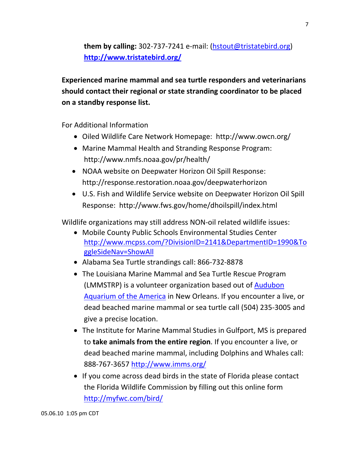**them by calling:** 302‐737‐7241 e‐mail: (hstout@tristatebird.org) **http://www.tristatebird.org/**

**Experienced marine mammal and sea turtle responders and veterinarians should contact their regional or state stranding coordinator to be placed on a standby response list.**

For Additional Information

- Oiled Wildlife Care Network Homepage: http://www.owcn.org/
- Marine Mammal Health and Stranding Response Program: http://www.nmfs.noaa.gov/pr/health/
- NOAA website on Deepwater Horizon Oil Spill Response: http://response.restoration.noaa.gov/deepwaterhorizon
- U.S. Fish and Wildlife Service website on Deepwater Horizon Oil Spill Response: http://www.fws.gov/home/dhoilspill/index.html

Wildlife organizations may still address NON‐oil related wildlife issues:

- Mobile County Public Schools Environmental Studies Center http://www.mcpss.com/?DivisionID=2141&DepartmentID=1990&To ggleSideNav=ShowAll
- Alabama Sea Turtle strandings call: 866‐732‐8878
- The Louisiana Marine Mammal and Sea Turtle Rescue Program (LMMSTRP) is a volunteer organization based out of Audubon Aquarium of the America in New Orleans. If you encounter a live, or dead beached marine mammal or sea turtle call (504) 235‐3005 and give a precise location.
- The Institute for Marine Mammal Studies in Gulfport, MS is prepared to **take animals from the entire region**. If you encounter a live, or dead beached marine mammal, including Dolphins and Whales call: 888-767-3657 http://www.imms.org/
- If you come across dead birds in the state of Florida please contact the Florida Wildlife Commission by filling out this online form http://myfwc.com/bird/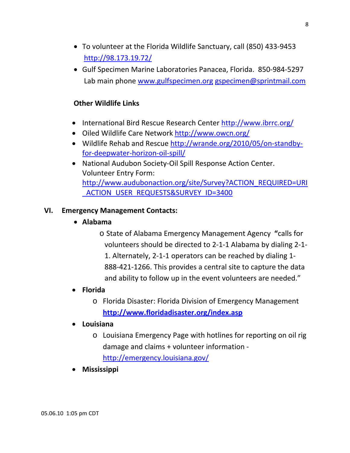- To volunteer at the Florida Wildlife Sanctuary, call (850) 433‐9453 http://98.173.19.72/
- Gulf Specimen Marine Laboratories Panacea, Florida. 850‐984‐5297 Lab main phone www.gulfspecimen.org gspecimen@sprintmail.com

### **Other Wildlife Links**

- International Bird Rescue Research Center http://www.ibrrc.org/
- Oiled Wildlife Care Network http://www.owcn.org/
- Wildlife Rehab and Rescue http://wrande.org/2010/05/on‐standby‐ for‐deepwater‐horizon‐oil‐spill/
- National Audubon Society-Oil Spill Response Action Center. Volunteer Entry Form: http://www.audubonaction.org/site/Survey?ACTION\_REQUIRED=URI ACTION\_USER\_REQUESTS&SURVEY\_ID=3400

## **VI. Emergency Management Contacts:**

- **Alabama**
	- o State of Alabama Emergency Management Agency **"**calls for volunteers should be directed to 2‐1‐1 Alabama by dialing 2‐1‐ 1. Alternately, 2‐1‐1 operators can be reached by dialing 1‐ 888‐421‐1266. This provides a central site to capture the data and ability to follow up in the event volunteers are needed."

## **Florida**

- o Florida Disaster: Florida Division of Emergency Management **http://www.floridadisaster.org/index.asp**
- **Louisiana**
	- o Louisiana Emergency Page with hotlines for reporting on oil rig damage and claims + volunteer information ‐ http://emergency.louisiana.gov/
- **Mississippi**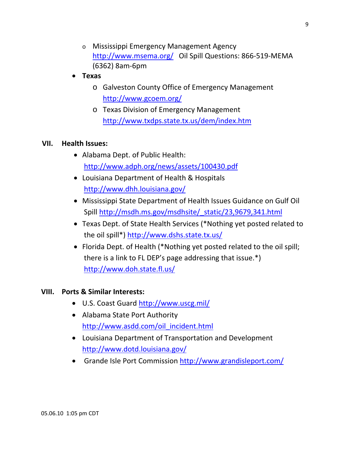- o Mississippi Emergency Management Agency http://www.msema.org/ Oil Spill Questions: 866‐519‐MEMA (6362) 8am‐6pm
- **Texas**
	- o Galveston County Office of Emergency Management http://www.gcoem.org/
	- o Texas Division of Emergency Management http://www.txdps.state.tx.us/dem/index.htm

#### **VII. Health Issues:**

- Alabama Dept. of Public Health: http://www.adph.org/news/assets/100430.pdf
- Louisiana Department of Health & Hospitals http://www.dhh.louisiana.gov/
- Mississippi State Department of Health Issues Guidance on Gulf Oil Spill http://msdh.ms.gov/msdhsite/\_static/23,9679,341.html
- Texas Dept. of State Health Services (\*Nothing yet posted related to the oil spill\*) http://www.dshs.state.tx.us/
- Florida Dept. of Health (\*Nothing yet posted related to the oil spill; there is a link to FL DEP's page addressing that issue.\*) http://www.doh.state.fl.us/

#### **VIII. Ports & Similar Interests:**

- U.S. Coast Guard http://www.uscg.mil/
- Alabama State Port Authority http://www.asdd.com/oil\_incident.html
- Louisiana Department of Transportation and Development http://www.dotd.louisiana.gov/
- Grande Isle Port Commission http://www.grandisleport.com/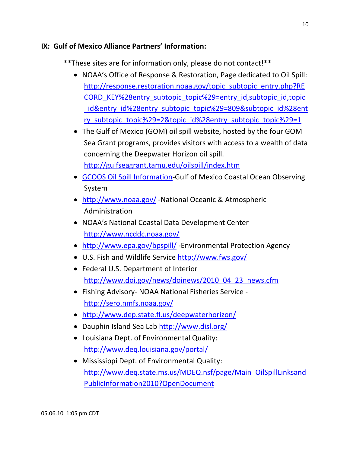### **IX: Gulf of Mexico Alliance Partners' Information:**

\*\*These sites are for information only, please do not contact!\*\*

- NOAA's Office of Response & Restoration, Page dedicated to Oil Spill: http://response.restoration.noaa.gov/topic\_subtopic\_entry.php?RE CORD\_KEY%28entry\_subtopic\_topic%29=entry\_id,subtopic\_id,topic id&entry id%28entry subtopic topic%29=809&subtopic id%28ent ry subtopic topic%29=2&topic id%28entry subtopic topic%29=1
- The Gulf of Mexico (GOM) oil spill website, hosted by the four GOM Sea Grant programs, provides visitors with access to a wealth of data concerning the Deepwater Horizon oil spill. http://gulfseagrant.tamu.edu/oilspill/index.htm
- GCOOS Oil Spill Information-Gulf of Mexico Coastal Ocean Observing System
- http://www.noaa.gov/ -National Oceanic & Atmospheric Administration
- NOAA's National Coastal Data Development Center http://www.ncddc.noaa.gov/
- http://www.epa.gov/bpspill/ ‐Environmental Protection Agency
- U.S. Fish and Wildlife Service http://www.fws.gov/
- Federal U.S. Department of Interior http://www.doi.gov/news/doinews/2010\_04\_23\_news.cfm
- Fishing Advisory‐ NOAA National Fisheries Service ‐ http://sero.nmfs.noaa.gov/
- http://www.dep.state.fl.us/deepwaterhorizon/
- Dauphin Island Sea Lab http://www.disl.org/
- Louisiana Dept. of Environmental Quality: http://www.deq.louisiana.gov/portal/
- Mississippi Dept. of Environmental Quality: http://www.deq.state.ms.us/MDEQ.nsf/page/Main\_OilSpillLinksand PublicInformation2010?OpenDocument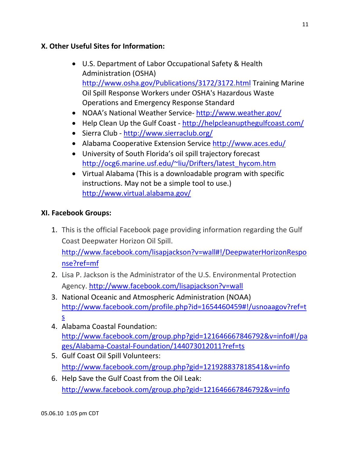## **X. Other Useful Sites for Information:**

- U.S. Department of Labor Occupational Safety & Health Administration (OSHA) http://www.osha.gov/Publications/3172/3172.html Training Marine Oil Spill Response Workers under OSHA's Hazardous Waste Operations and Emergency Response Standard
- NOAA's National Weather Service- http://www.weather.gov/
- Help Clean Up the Gulf Coast http://helpcleanupthegulfcoast.com/
- Sierra Club http://www.sierraclub.org/
- Alabama Cooperative Extension Service http://www.aces.edu/
- University of South Florida's oil spill trajectory forecast http://ocg6.marine.usf.edu/~liu/Drifters/latest\_hycom.htm
- Virtual Alabama (This is a downloadable program with specific instructions. May not be a simple tool to use.) http://www.virtual.alabama.gov/

## **XI. Facebook Groups:**

1. This is the official Facebook page providing information regarding the Gulf Coast Deepwater Horizon Oil Spill.

http://www.facebook.com/lisapjackson?v=wall#!/DeepwaterHorizonRespo nse?ref=mf

- 2. Lisa P. Jackson is the Administrator of the U.S. Environmental Protection Agency. http://www.facebook.com/lisapjackson?v=wall
- 3. National Oceanic and Atmospheric Administration (NOAA) http://www.facebook.com/profile.php?id=1654460459#!/usnoaagov?ref=t s
- 4. Alabama Coastal Foundation: http://www.facebook.com/group.php?gid=121646667846792&v=info#!/pa ges/Alabama‐Coastal‐Foundation/144073012011?ref=ts
- 5. Gulf Coast Oil Spill Volunteers: http://www.facebook.com/group.php?gid=121928837818541&v=info
- 6. Help Save the Gulf Coast from the Oil Leak: http://www.facebook.com/group.php?gid=121646667846792&v=info